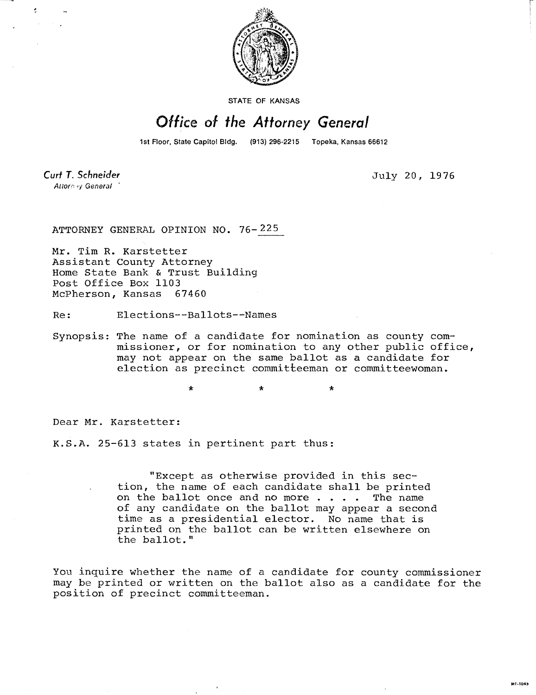

STATE OF KANSAS

## Office of the Attorney General

1st Floor, State Capitol Bldg. (913) 296-2215 Topeka, Kansas 66612

Curt T. Schneider Attorney General

t

July 20, 1976

ATTORNEY GENERAL OPINION NO. 76-225

Mr. Tim R. Karstetter Assistant County Attorney Home State Bank & Trust Building Post Office Box 1103 McPherson, Kansas 67460

Re: Elections--Ballots--Names

Synopsis: The name of a candidate for nomination as county commissioner, or for nomination to any other public office, may not appear on the same ballot as a candidate for election as precinct committeeman or committeewoman.

> ÷  $\star$

Dear Mr. Karstetter:

K.S.A. 25-613 states in pertinent part thus:

"Except as otherwise provided in this section, the name of each candidate shall be printed on the ballot once and no more . . . . The name of any candidate on the ballot may appear a second time as a presidential elector. No name that is printed on the ballot can be written elsewhere on the ballot."

You inquire whether the name of a candidate for county commissioner may be printed or written on the ballot also as a candidate for the position of precinct committeeman.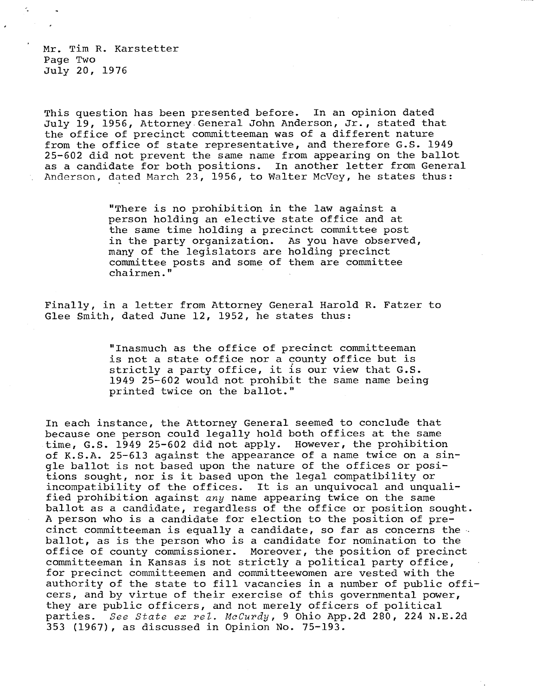Mr. Tim R. Karstetter Page Two July 20, 1976

K.

This question has been presented before. In an opinion dated July 19, 1956, Attorney General John Anderson, Jr., stated that the office of precinct committeeman was of a different nature from the office of state representative, and therefore G.S. 1949 25-602 did not prevent the same name from appearing on the ballot as a candidate for both positions. In another letter from General Anderson, dated March 23, 1956, to Walter McVey, he states thus:

> "There is no prohibition in the law against a person holding an elective state office and at the same time holding a precinct committee post in the party organization. As you have observed, many of the legislators are holding precinct committee posts and some of them are committee chairmen."

Finally, in a letter from Attorney General Harold R. Fatzer to Glee Smith, dated June 12, 1952, he states thus:

> "Inasmuch as the office of precinct committeeman is not a state office nor a county office but is strictly a party office, it is our view that G.S. 1949 25-602 would not prohibit the same name being printed twice on the ballot."

In each instance, the Attorney General seemed to conclude that because one person could legally hold both offices at the same time, G.S. 1949 25-602 did not apply. However, the prohibition of K.S.A. 25-613 against the appearance of a name twice on a single ballot is not based upon the nature of the offices or positions sought, nor is it based upon the legal compatibility or incompatibility of the offices. It is an unquivocal and unqualified prohibition against any name appearing twice on the same ballot as a candidate, regardless of the office or position sought. A person who is a candidate for election to the position of precinct committeeman is equally a candidate, so far as concerns the ballot, as is the person who is a candidate for nomination to the office of county commissioner. Moreover, the position of precinct committeeman in Kansas is not strictly a political party office, for precinct committeemen and committeewomen are vested with the authority of the state to fill vacancies in a number of public officers, and by virtue of their exercise of this governmental power, they are public officers, and not merely officers of political parties. See State ex rel. McCurdy, 9 Ohio App.2d 280, 224 N.E.2d 353 (1967), as discussed in Opinion No. 75-193.